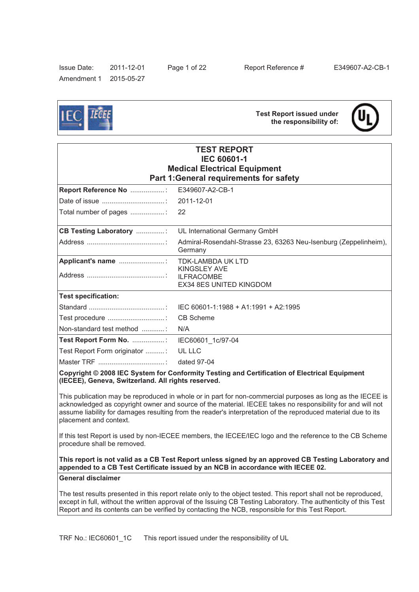Issue Date: 2011-12-01 Page 1 of 22 Report Reference # E349607-A2-CB-1 Amendment 1 2015-05-27

**Test Report issued under the responsibility of:**



| <b>TEST REPORT</b><br><b>IEC 60601-1</b><br><b>Medical Electrical Equipment</b><br>Part 1: General requirements for safety |                                                                             |  |  |
|----------------------------------------------------------------------------------------------------------------------------|-----------------------------------------------------------------------------|--|--|
| Report Reference No : E349607-A2-CB-1                                                                                      |                                                                             |  |  |
|                                                                                                                            |                                                                             |  |  |
|                                                                                                                            |                                                                             |  |  |
| <b>CB Testing Laboratory </b>                                                                                              | UL International Germany GmbH                                               |  |  |
|                                                                                                                            | Admiral-Rosendahl-Strasse 23, 63263 Neu-Isenburg (Zeppelinheim),<br>Germany |  |  |
|                                                                                                                            | <b>KINGSLEY AVE</b><br><b>ILFRACOMBE</b><br>EX34 8ES UNITED KINGDOM         |  |  |
| <b>Test specification:</b>                                                                                                 |                                                                             |  |  |
|                                                                                                                            | IEC 60601-1:1988 + A1:1991 + A2:1995                                        |  |  |
|                                                                                                                            | <b>CB Scheme</b>                                                            |  |  |
| Non-standard test method                                                                                                   | N/A                                                                         |  |  |
| Test Report Form No. :                                                                                                     | IEC60601 1c/97-04                                                           |  |  |
| Test Report Form originator :                                                                                              | UL LLC                                                                      |  |  |
|                                                                                                                            | dated 97-04                                                                 |  |  |

**Copyright © 2008 IEC System for Conformity Testing and Certification of Electrical Equipment (IECEE), Geneva, Switzerland. All rights reserved.**

This publication may be reproduced in whole or in part for non-commercial purposes as long as the IECEE is acknowledged as copyright owner and source of the material. IECEE takes no responsibility for and will not assume liability for damages resulting from the reader's interpretation of the reproduced material due to its placement and context.

If this test Report is used by non-IECEE members, the IECEE/IEC logo and the reference to the CB Scheme procedure shall be removed.

**This report is not valid as a CB Test Report unless signed by an approved CB Testing Laboratory and appended to a CB Test Certificate issued by an NCB in accordance with IECEE 02.** 

**General disclaimer**

The test results presented in this report relate only to the object tested. This report shall not be reproduced, except in full, without the written approval of the Issuing CB Testing Laboratory. The authenticity of this Test Report and its contents can be verified by contacting the NCB, responsible for this Test Report.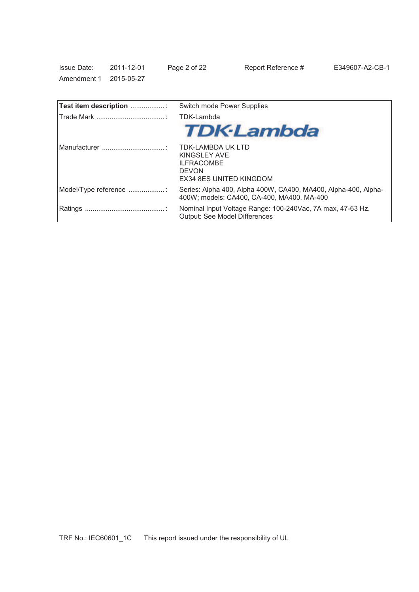| <b>Issue Date:</b>     | 2011-12-01 | Page 2 of 22 | Report Reference # |
|------------------------|------------|--------------|--------------------|
| Amendment 1 2015-05-27 |            |              |                    |

| Test item description : | Switch mode Power Supplies                                                                                      |
|-------------------------|-----------------------------------------------------------------------------------------------------------------|
|                         | TDK-Lambda                                                                                                      |
|                         | <b>TDK-Lambda</b>                                                                                               |
|                         | <b>TDK-LAMBDA UK LTD</b><br>KINGSLEY AVE<br><b>ILFRACOMBE</b><br><b>DEVON</b><br><b>EX34 8ES UNITED KINGDOM</b> |
| Model/Type reference    | Series: Alpha 400, Alpha 400W, CA400, MA400, Alpha-400, Alpha-<br>400W: models: CA400, CA-400, MA400, MA-400    |
|                         | Nominal Input Voltage Range: 100-240Vac, 7A max, 47-63 Hz.<br>Output: See Model Differences                     |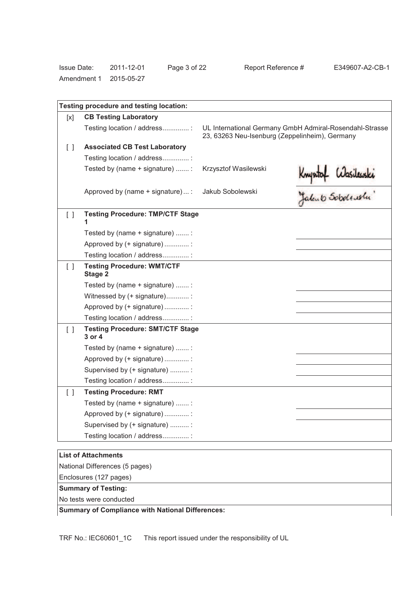| <b>Issue Date:</b> | 2011-12-01 | Page 3 of 2 |
|--------------------|------------|-------------|
| Amendment 1        | 2015-05-27 |             |

| [x]    | <b>CB Testing Laboratory</b>                      |                                                |                                                         |
|--------|---------------------------------------------------|------------------------------------------------|---------------------------------------------------------|
|        | Testing location / address:                       | 23, 63263 Neu-Isenburg (Zeppelinheim), Germany | UL International Germany GmbH Admiral-Rosendahl-Strasse |
| $\Box$ | <b>Associated CB Test Laboratory</b>              |                                                |                                                         |
|        | Testing location / address:                       |                                                |                                                         |
|        | Tested by (name + signature) :                    | Krzysztof Wasilewski                           |                                                         |
|        | Approved by (name + signature)  :                 | Jakub Sobolewski                               | Knyntof Wasilewski<br>Yalento Sobolewski                |
| $\Box$ | <b>Testing Procedure: TMP/CTF Stage</b>           |                                                |                                                         |
|        | Tested by (name + signature) :                    |                                                |                                                         |
|        | Approved by (+ signature) :                       |                                                |                                                         |
|        | Testing location / address:                       |                                                |                                                         |
| $\Box$ | <b>Testing Procedure: WMT/CTF</b><br>Stage 2      |                                                |                                                         |
|        | Tested by (name + signature) :                    |                                                |                                                         |
|        | Witnessed by (+ signature):                       |                                                |                                                         |
|        | Approved by (+ signature) :                       |                                                |                                                         |
|        | Testing location / address:                       |                                                |                                                         |
| $\Box$ | <b>Testing Procedure: SMT/CTF Stage</b><br>3 or 4 |                                                |                                                         |
|        | Tested by (name + signature) :                    |                                                |                                                         |
|        | Approved by (+ signature) :                       |                                                |                                                         |
|        | Supervised by (+ signature) :                     |                                                |                                                         |
|        | Testing location / address:                       |                                                |                                                         |
| $\Box$ | <b>Testing Procedure: RMT</b>                     |                                                |                                                         |
|        | Tested by (name + signature) :                    |                                                |                                                         |
|        | Approved by (+ signature)                         |                                                |                                                         |
|        | Supervised by (+ signature) :                     |                                                |                                                         |
|        | Testing location / address:                       |                                                |                                                         |

National Differences (5 pages) Enclosures (127 pages)

# **Summary of Testing:**

No tests were conducted

# **Summary of Compliance with National Differences:**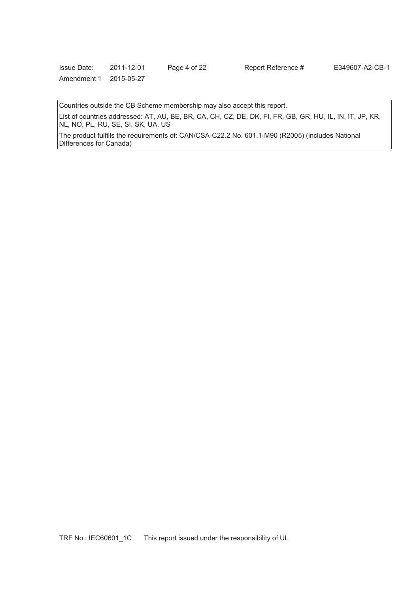| <b>Issue Date:</b> | 2011-12-01 | Page 4 of 22 | Report Reference # | E349607-A2-CB-1 |
|--------------------|------------|--------------|--------------------|-----------------|
|                    |            |              |                    |                 |

Countries outside the CB Scheme membership may also accept this report.

List of countries addressed: AT, AU, BE, BR, CA, CH, CZ, DE, DK, FI, FR, GB, GR, HU, IL, IN, IT, JP, KR, NL, NO, PL, RU, SE, SI, SK, UA, US

The product fulfills the requirements of: CAN/CSA-C22.2 No. 601.1-M90 (R2005) (includes National Differences for Canada)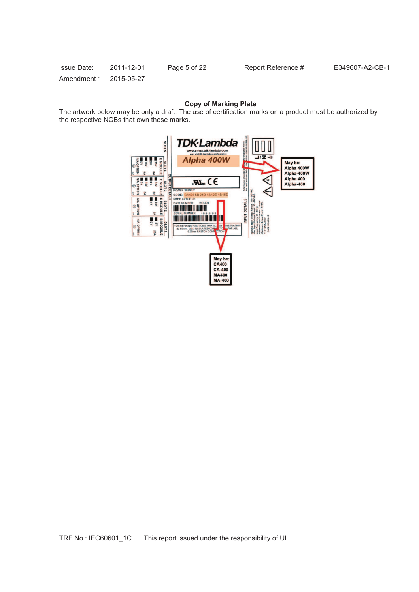| <b>Issue Date:</b>     | 2011-12-01 | Page 5 of 22 | Report Reference # | E349607-A2-CB-1 |
|------------------------|------------|--------------|--------------------|-----------------|
| Amendment 1 2015-05-27 |            |              |                    |                 |

# **Copy of Marking Plate**

The artwork below may be only a draft. The use of certification marks on a product must be authorized by the respective NCBs that own these marks.

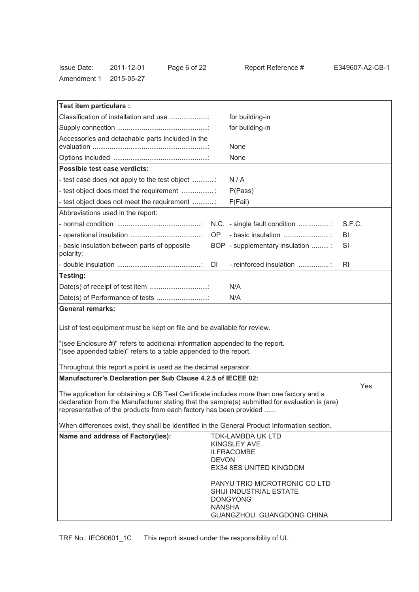| <b>Issue Date:</b> | 2011-12-01 | Page 6 of 22 |
|--------------------|------------|--------------|
| Amendment 1        | 2015-05-27 |              |

| Test item particulars :                                                                                                                                                                                                                                          |               |                                                                                                          |           |
|------------------------------------------------------------------------------------------------------------------------------------------------------------------------------------------------------------------------------------------------------------------|---------------|----------------------------------------------------------------------------------------------------------|-----------|
| Classification of installation and use                                                                                                                                                                                                                           |               | for building-in                                                                                          |           |
|                                                                                                                                                                                                                                                                  |               | for building-in                                                                                          |           |
| Accessories and detachable parts included in the                                                                                                                                                                                                                 |               | None                                                                                                     |           |
|                                                                                                                                                                                                                                                                  |               | None                                                                                                     |           |
| Possible test case verdicts:                                                                                                                                                                                                                                     |               |                                                                                                          |           |
| - test case does not apply to the test object                                                                                                                                                                                                                    |               | N/A                                                                                                      |           |
| - test object does meet the requirement                                                                                                                                                                                                                          |               | P(Pass)                                                                                                  |           |
| - test object does not meet the requirement                                                                                                                                                                                                                      |               | F(Fail)                                                                                                  |           |
| Abbreviations used in the report:                                                                                                                                                                                                                                |               |                                                                                                          |           |
|                                                                                                                                                                                                                                                                  |               | N.C. - single fault condition                                                                            | S.F.C.    |
|                                                                                                                                                                                                                                                                  | OP .          | - basic insulation                                                                                       | BI        |
| - basic insulation between parts of opposite<br>polarity:                                                                                                                                                                                                        |               | BOP - supplementary insulation :                                                                         | SI        |
|                                                                                                                                                                                                                                                                  | DI            | - reinforced insulation                                                                                  | <b>RI</b> |
| Testing:                                                                                                                                                                                                                                                         |               |                                                                                                          |           |
|                                                                                                                                                                                                                                                                  |               | N/A                                                                                                      |           |
| Date(s) of Performance of tests                                                                                                                                                                                                                                  |               | N/A                                                                                                      |           |
| <b>General remarks:</b>                                                                                                                                                                                                                                          |               |                                                                                                          |           |
|                                                                                                                                                                                                                                                                  |               |                                                                                                          |           |
| List of test equipment must be kept on file and be available for review.                                                                                                                                                                                         |               |                                                                                                          |           |
| "(see Enclosure #)" refers to additional information appended to the report.<br>"(see appended table)" refers to a table appended to the report.                                                                                                                 |               |                                                                                                          |           |
| Throughout this report a point is used as the decimal separator.                                                                                                                                                                                                 |               |                                                                                                          |           |
| Manufacturer's Declaration per Sub Clause 4.2.5 of IECEE 02:                                                                                                                                                                                                     |               |                                                                                                          |           |
| The application for obtaining a CB Test Certificate includes more than one factory and a<br>declaration from the Manufacturer stating that the sample(s) submitted for evaluation is (are)<br>representative of the products from each factory has been provided |               |                                                                                                          | Yes       |
| When differences exist, they shall be identified in the General Product Information section.                                                                                                                                                                     |               |                                                                                                          |           |
| Name and address of Factory(ies):                                                                                                                                                                                                                                | <b>DEVON</b>  | <b>TDK-LAMBDA UK LTD</b><br><b>KINGSLEY AVE</b><br><b>ILFRACOMBE</b><br>EX34 8ES UNITED KINGDOM          |           |
|                                                                                                                                                                                                                                                                  | <b>NANSHA</b> | PANYU TRIO MICROTRONIC CO LTD<br>SHIJI INDUSTRIAL ESTATE<br><b>DONGYONG</b><br>GUANGZHOU GUANGDONG CHINA |           |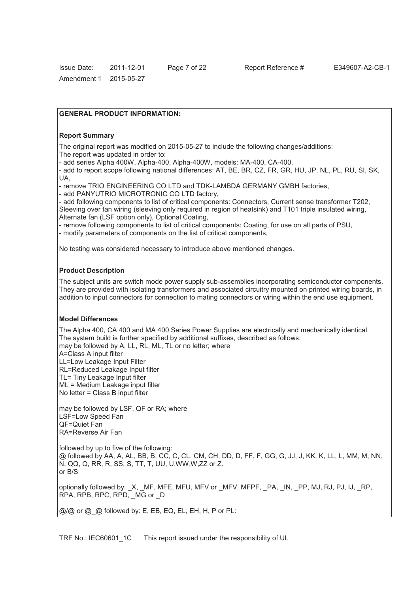#### **GENERAL PRODUCT INFORMATION:**

#### **Report Summary**

The original report was modified on 2015-05-27 to include the following changes/additions: The report was updated in order to:

- add series Alpha 400W, Alpha-400, Alpha-400W, models: MA-400, CA-400,

- add to report scope following national differences: AT, BE, BR, CZ, FR, GR, HU, JP, NL, PL, RU, SI, SK, UA,

- remove TRIO ENGINEERING CO LTD and TDK-LAMBDA GERMANY GMBH factories,

- add PANYUTRIO MICROTRONIC CO LTD factory,

- add following components to list of critical components: Connectors, Current sense transformer T202, Sleeving over fan wiring (sleeving only required in region of heatsink) and T101 triple insulated wiring, Alternate fan (LSF option only), Optional Coating,

- remove following components to list of critical components: Coating, for use on all parts of PSU,

- modify parameters of components on the list of critical components,

No testing was considered necessary to introduce above mentioned changes.

#### **Product Description**

The subject units are switch mode power supply sub-assemblies incorporating semiconductor components. They are provided with isolating transformers and associated circuitry mounted on printed wiring boards, in addition to input connectors for connection to mating connectors or wiring within the end use equipment.

#### **Model Differences**

The Alpha 400, CA 400 and MA 400 Series Power Supplies are electrically and mechanically identical. The system build is further specified by additional suffixes, described as follows: may be followed by A, LL, RL, ML, TL or no letter; where A=Class A input filter LL=Low Leakage Input Filter RL=Reduced Leakage Input filter TL= Tiny Leakage Input filter ML = Medium Leakage input filter No letter = Class B input filter may be followed by LSF, QF or RA; where LSF=Low Speed Fan

QF=Quiet Fan RA=Reverse Air Fan

followed by up to five of the following: @ followed by AA, A, AL, BB, B, CC, C, CL, CM, CH, DD, D, FF, F, GG, G, JJ, J, KK, K, LL, L, MM, M, NN, N, QQ, Q, RR, R, SS, S, TT, T, UU, U,WW,W,ZZ or Z. or B/S

optionally followed by:  $X$ , MF, MFE, MFU, MFV or MFV, MFPF, PA, IN, PP, MJ, RJ, PJ, IJ, RP, RPA, RPB, RPC, RPD, MG or D

@/@ or @\_@ followed by: E, EB, EQ, EL, EH, H, P or PL: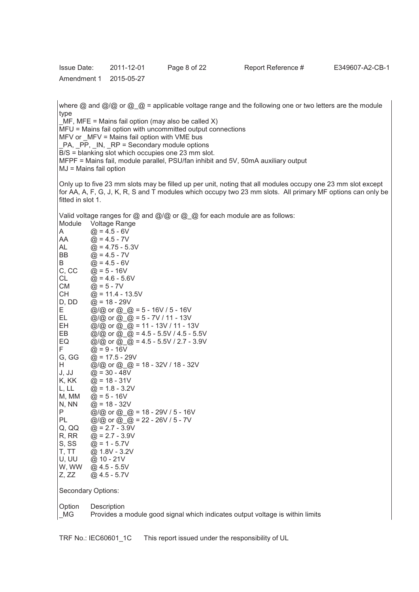| <b>Issue Date:</b> | 2011-12-01 | Page 8 of 22 |
|--------------------|------------|--------------|
| Amendment 1        | 2015-05-27 |              |

where  $\omega$  and  $\omega/\omega$  or  $\omega =$  applicable voltage range and the following one or two letters are the module type

 $MF$ , MFE = Mains fail option (may also be called X) MFU = Mains fail option with uncommitted output connections MFV or \_MFV = Mains fail option with VME bus PA,  $\overrightarrow{PP}$ ,  $\overrightarrow{IN}$ ,  $\overrightarrow{RP}$  = Secondary module options B/S = blanking slot which occupies one 23 mm slot. MFPF = Mains fail, module parallel, PSU/fan inhibit and 5V, 50mA auxiliary output MJ = Mains fail option

Only up to five 23 mm slots may be filled up per unit, noting that all modules occupy one 23 mm slot except for AA, A, F, G, J, K, R, S and T modules which occupy two 23 mm slots. All primary MF options can only be fitted in slot 1.

Valid voltage ranges for @ and @/@ or @\_@ for each module are as follows:

| Module         | <b>Voltage Range</b>                                                          |
|----------------|-------------------------------------------------------------------------------|
| A              | $@ = 4.5 - 6V$                                                                |
| AA             | $@ = 4.5 - 7V$                                                                |
| AL             | $@ = 4.75 - 5.3V$                                                             |
| BB             | $@ = 4.5 - 7V$                                                                |
| B              | $@ = 4.5 - 6V$                                                                |
| C, CC          | $@ = 5 - 16V$                                                                 |
| CL             | $@ = 4.6 - 5.6V$                                                              |
| СM             | $@ = 5 - 7V$                                                                  |
| <b>CH</b>      | $@ = 11.4 - 13.5V$                                                            |
| D, DD          | $@ = 18 - 29V$                                                                |
| E              | @/@ or @ @ = 5 - 16V / 5 - 16V                                                |
| EL.            | @/@ or @_@ = 5 - 7V / 11 - 13V                                                |
| EH             | @/@ or @ @ = 11 - 13V / 11 - 13V                                              |
| EВ             | @/@ or @ _@ = 4.5 - 5.5V / 4.5 - 5.5V                                         |
| EQ             | @/@ or @_@ = 4.5 - 5.5V / 2.7 - 3.9V                                          |
| F              | $@ = 9 - 16V$                                                                 |
| G, GG          | $@ = 17.5 - 29V$                                                              |
| H              | @/@ or @ @ = 18 - 32V / 18 - 32V                                              |
| J, JJ          | $@ = 30 - 48V$                                                                |
| K, KK          | $@ = 18 - 31V$                                                                |
| L, LL          | $@ = 1.8 - 3.2V$                                                              |
| M, MM          | $@ = 5 - 16V$                                                                 |
| N, NN          | $@ = 18 - 32V$                                                                |
| Ρ              | @/@ or @ @ = 18 - 29V / 5 - 16V                                               |
| PL             | @/@ or @_@ = 22 - 26V / 5 - 7V                                                |
| Q, QQ          | $@ = 2.7 - 3.9V$                                                              |
| R, RR          | $@ = 2.7 - 3.9V$                                                              |
| S, SS<br>T, TT | $@ = 1 - 5.7V$<br>@ 1.8V - 3.2V                                               |
| U, UU          | @ 10 - 21V                                                                    |
| W, WW          | $@4.5 - 5.5V$                                                                 |
| Z, ZZ          | $@4.5 - 5.7V$                                                                 |
|                |                                                                               |
|                | Secondary Options:                                                            |
| Option         | Description                                                                   |
| <b>MG</b>      | Provides a module good signal which indicates output voltage is within limits |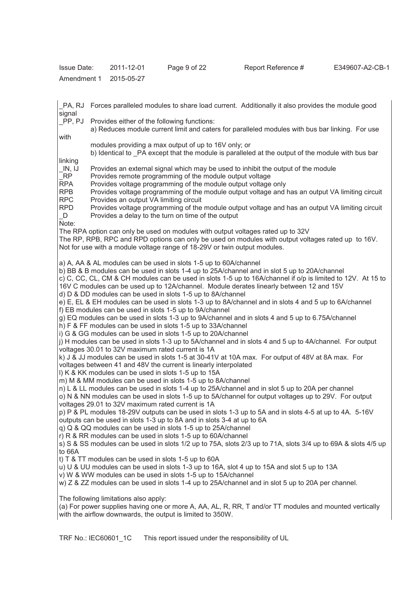| <b>Issue Date:</b> | 2011-12-01 | Page 9 of 22 |
|--------------------|------------|--------------|
| Amendment 1        | 2015-05-27 |              |

signal PP, PJ Provides either of the following functions: a) Reduces module current limit and caters for paralleled modules with bus bar linking. For use with modules providing a max output of up to 16V only; or b) Identical to  $PA$  except that the module is paralleled at the output of the module with bus bar linking<br>IN, IJ \_IN, IJ Provides an external signal which may be used to inhibit the output of the module RP Provides remote programming of the module output voltage<br>RPA Provides voltage programming of the module output voltage Provides voltage programming of the module output voltage only RPB Provides voltage programming of the module output voltage and has an output VA limiting circuit RPC Provides an output VA limiting circuit RPD Provides voltage programming of the module output voltage and has an output VA limiting circuit \_D Provides a delay to the turn on time of the output Note: The RPA option can only be used on modules with output voltages rated up to 32V The RP, RPB, RPC and RPD options can only be used on modules with output voltages rated up to 16V.

\_PA, RJ Forces paralleled modules to share load current. Additionally it also provides the module good

Not for use with a module voltage range of 18-29V or twin output modules.

a) A, AA & AL modules can be used in slots 1-5 up to 60A/channel

b) BB & B modules can be used in slots 1-4 up to 25A/channel and in slot 5 up to 20A/channel

c) C, CC, CL, CM & CH modules can be used in slots 1-5 up to 16A/channel if o/p is limited to 12V. At 15 to 16V C modules can be used up to 12A/channel. Module derates linearly between 12 and 15V

d) D & DD modules can be used in slots 1-5 up to 8A/channel

e) E, EL & EH modules can be used in slots 1-3 up to 8A/channel and in slots 4 and 5 up to 6A/channel f) EB modules can be used in slots 1-5 up to 9A/channel

g) EQ modules can be used in slots 1-3 up to 9A/channel and in slots 4 and 5 up to 6.75A/channel

h) F & FF modules can be used in slots 1-5 up to 33A/channel

i) G & GG modules can be used in slots 1-5 up to 20A/channel

j) H modules can be used in slots 1-3 up to 5A/channel and in slots 4 and 5 up to 4A/channel. For output voltages 30.01 to 32V maximum rated current is 1A

k) J & JJ modules can be used in slots 1-5 at 30-41V at 10A max. For output of 48V at 8A max. For voltages between 41 and 48V the current is linearly interpolated

- l) K & KK modules can be used in slots 1-5 up to 15A
- m) M & MM modules can be used in slots 1-5 up to 8A/channel

n) L & LL modules can be used in slots 1-4 up to 25A/channel and in slot 5 up to 20A per channel

o) N & NN modules can be used in slots 1-5 up to 5A/channel for output voltages up to 29V. For output voltages 29.01 to 32V maximum rated current is 1A

p) P & PL modules 18-29V outputs can be used in slots 1-3 up to 5A and in slots 4-5 at up to 4A. 5-16V outputs can be used in slots 1-3 up to 8A and in slots 3-4 at up to 6A

q) Q & QQ modules can be used in slots 1-5 up to 25A/channel

r) R & RR modules can be used in slots 1-5 up to 60A/channel

s) S & SS modules can be used in slots 1/2 up to 75A, slots 2/3 up to 71A, slots 3/4 up to 69A & slots 4/5 up to 66A

t) T & TT modules can be used in slots 1-5 up to 60A

u) U & UU modules can be used in slots 1-3 up to 16A, slot 4 up to 15A and slot 5 up to 13A

v) W & WW modules can be used in slots 1-5 up to 15A/channel

w) Z & ZZ modules can be used in slots 1-4 up to 25A/channel and in slot 5 up to 20A per channel.

The following limitations also apply:

(a) For power supplies having one or more A, AA, AL, R, RR, T and/or TT modules and mounted vertically with the airflow downwards, the output is limited to 350W.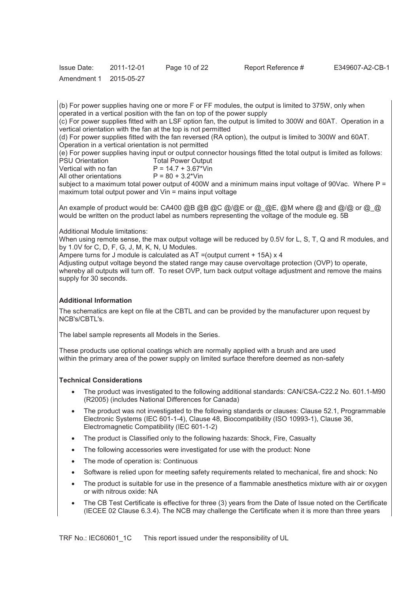| <b>Issue Date:</b> | 2011-12-01 | Page 10 of 22 |
|--------------------|------------|---------------|
| Amendment 1        | 2015-05-27 |               |

(b) For power supplies having one or more F or FF modules, the output is limited to 375W, only when operated in a vertical position with the fan on top of the power supply

(c) For power supplies fitted with an LSF option fan, the output is limited to 300W and 60AT. Operation in a vertical orientation with the fan at the top is not permitted

(d) For power supplies fitted with the fan reversed (RA option), the output is limited to 300W and 60AT. Operation in a vertical orientation is not permitted

(e) For power supplies having input or output connector housings fitted the total output is limited as follows:<br>PSU Orientation Total Power Output PSU Orientation Total Power Output<br>Vertical with no fan P = 14.7 + 3.67\*Vin

 $P = 14.7 + 3.67*V$ in<br> $P = 80 + 3.2*V$ in All other orientations

subject to a maximum total power output of 400W and a minimum mains input voltage of 90Vac. Where  $P =$ maximum total output power and Vin = mains input voltage

An example of product would be: CA400 @B @B @C @/@E or @\_@E, @M where @ and @/@ or @\_@ would be written on the product label as numbers representing the voltage of the module eg. 5B

Additional Module limitations:

When using remote sense, the max output voltage will be reduced by 0.5V for L, S, T, Q and R modules, and by 1.0V for C, D, F, G, J, M, K, N, U Modules.

Ampere turns for J module is calculated as  $AT =$ (output current  $+ 15A$ ) x 4

Adjusting output voltage beyond the stated range may cause overvoltage protection (OVP) to operate, whereby all outputs will turn off. To reset OVP, turn back output voltage adjustment and remove the mains supply for 30 seconds.

# **Additional Information**

The schematics are kept on file at the CBTL and can be provided by the manufacturer upon request by NCB's/CBTL's.

The label sample represents all Models in the Series.

These products use optional coatings which are normally applied with a brush and are used within the primary area of the power supply on limited surface therefore deemed as non-safety

# **Technical Considerations**

- · The product was investigated to the following additional standards: CAN/CSA-C22.2 No. 601.1-M90 (R2005) (includes National Differences for Canada)
- · The product was not investigated to the following standards or clauses: Clause 52.1, Programmable Electronic Systems (IEC 601-1-4), Clause 48, Biocompatibility (ISO 10993-1), Clause 36, Electromagnetic Compatibility (IEC 601-1-2)
- The product is Classified only to the following hazards: Shock, Fire, Casualty
- The following accessories were investigated for use with the product: None
- The mode of operation is: Continuous
- Software is relied upon for meeting safety requirements related to mechanical, fire and shock: No
- The product is suitable for use in the presence of a flammable anesthetics mixture with air or oxygen or with nitrous oxide: NA
- The CB Test Certificate is effective for three (3) years from the Date of Issue noted on the Certificate (IECEE 02 Clause 6.3.4). The NCB may challenge the Certificate when it is more than three years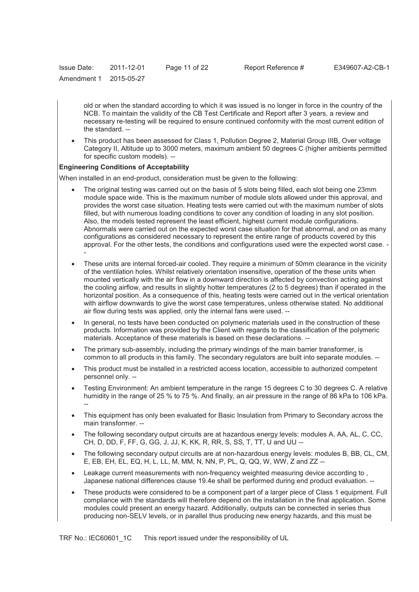| <b>Issue Date:</b> | 2011-12-01 | Page 11 of 22 |
|--------------------|------------|---------------|
| Amendment 1        | 2015-05-27 |               |

old or when the standard according to which it was issued is no longer in force in the country of the NCB. To maintain the validity of the CB Test Certificate and Report after 3 years, a review and necessary re-testing will be required to ensure continued conformity with the most current edition of the standard. --

· This product has been assessed for Class 1, Pollution Degree 2, Material Group IIIB, Over voltage Category II, Altitude up to 3000 meters, maximum ambient 50 degrees C (higher ambients permitted for specific custom models). --

#### **Engineering Conditions of Acceptability**

When installed in an end-product, consideration must be given to the following:

- The original testing was carried out on the basis of 5 slots being filled, each slot being one 23mm module space wide. This is the maximum number of module slots allowed under this approval, and provides the worst case situation. Heating tests were carried out with the maximum number of slots filled, but with numerous loading conditions to cover any condition of loading in any slot position. Also, the models tested represent the least efficient, highest current module configurations. Abnormals were carried out on the expected worst case situation for that abnormal, and on as many configurations as considered necessary to represent the entire range of products covered by this approval. For the other tests, the conditions and configurations used were the expected worst case. - -
- These units are internal forced-air cooled. They require a minimum of 50mm clearance in the vicinity of the ventilation holes. Whilst relatively orientation insensitive, operation of the these units when mounted vertically with the air flow in a downward direction is affected by convection acting against the cooling airflow, and results in slightly hotter temperatures (2 to 5 degrees) than if operated in the horizontal position. As a consequence of this, heating tests were carried out in the vertical orientation with airflow downwards to give the worst case temperatures, unless otherwise stated. No additional air flow during tests was applied, only the internal fans were used. --
- In general, no tests have been conducted on polymeric materials used in the construction of these products. Information was provided by the Client with regards to the classification of the polymeric materials. Acceptance of these materials is based on these declarations. --
- The primary sub-assembly, including the primary windings of the main barrier transformer, is common to all products in this family. The secondary regulators are built into separate modules. --
- This product must be installed in a restricted access location, accessible to authorized competent personnel only. --
- Testing Environment: An ambient temperature in the range 15 degrees C to 30 degrees C. A relative humidity in the range of 25 % to 75 %. And finally, an air pressure in the range of 86 kPa to 106 kPa. --
- · This equipment has only been evaluated for Basic Insulation from Primary to Secondary across the main transformer. --
- The following secondary output circuits are at hazardous energy levels: modules A, AA, AL, C, CC, CH, D, DD, F, FF, G, GG, J, JJ, K, KK, R, RR, S, SS, T, TT, U and UU --
- The following secondary output circuits are at non-hazardous energy levels: modules B, BB, CL, CM, E, EB, EH, EL, EQ, H, L, LL, M, MM, N, NN, P, PL, Q, QQ, W, WW, Z and ZZ --
- Leakage current measurements with non-frequency weighted measuring device according to, Japanese national differences clause 19.4e shall be performed during end product evaluation. --
- These products were considered to be a component part of a larger piece of Class 1 equipment. Full compliance with the standards will therefore depend on the installation in the final application. Some modules could present an energy hazard. Additionally, outputs can be connected in series thus producing non-SELV levels, or in parallel thus producing new energy hazards, and this must be